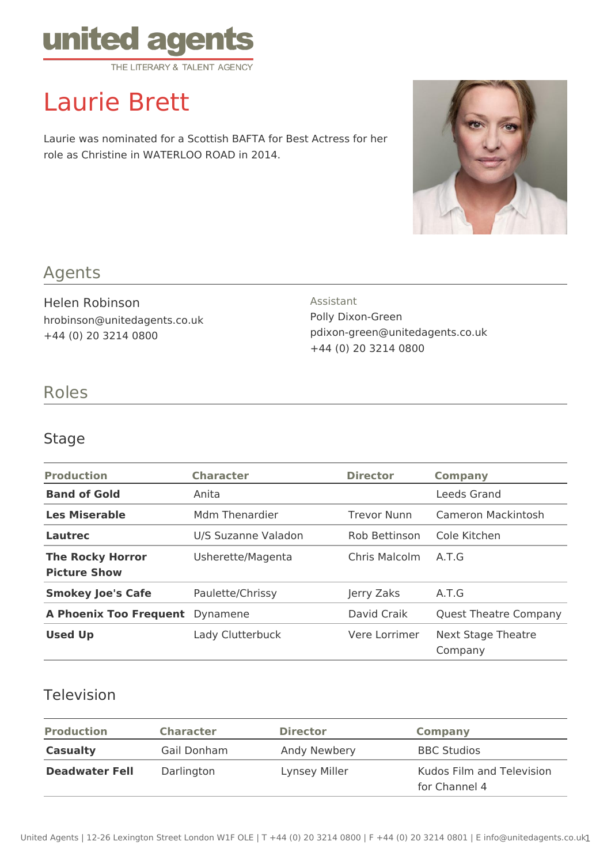

# Laurie Brett

Laurie was nominated for a Scottish BAFTA for Best Actress for her role as Christine in WATERLOO ROAD in 2014.



## Agents

Helen Robinson hrobinson@unitedagents.co.uk +44 (0) 20 3214 0800

# Assistant

Polly Dixon-Green pdixon-green@unitedagents.co.uk +44 (0) 20 3214 0800

## Roles

### Stage

| <b>Production</b>                              | <b>Character</b>    | <b>Director</b>    | Company                       |
|------------------------------------------------|---------------------|--------------------|-------------------------------|
| <b>Band of Gold</b>                            | Anita               |                    | Leeds Grand                   |
| <b>Les Miserable</b>                           | Mdm Thenardier      | <b>Trevor Nunn</b> | Cameron Mackintosh            |
| Lautrec                                        | U/S Suzanne Valadon | Rob Bettinson      | Cole Kitchen                  |
| <b>The Rocky Horror</b><br><b>Picture Show</b> | Usherette/Magenta   | Chris Malcolm      | A.T.G                         |
| <b>Smokey Joe's Cafe</b>                       | Paulette/Chrissy    | Jerry Zaks         | A.T.G                         |
| <b>A Phoenix Too Frequent</b>                  | Dynamene            | David Craik        | <b>Quest Theatre Company</b>  |
| <b>Used Up</b>                                 | Lady Clutterbuck    | Vere Lorrimer      | Next Stage Theatre<br>Company |

### Television

| <b>Production</b>     | <b>Character</b> | <b>Director</b> | <b>Company</b>                             |
|-----------------------|------------------|-----------------|--------------------------------------------|
| <b>Casualty</b>       | Gail Donham      | Andy Newbery    | <b>BBC Studios</b>                         |
| <b>Deadwater Fell</b> | Darlington       | Lynsey Miller   | Kudos Film and Television<br>for Channel 4 |